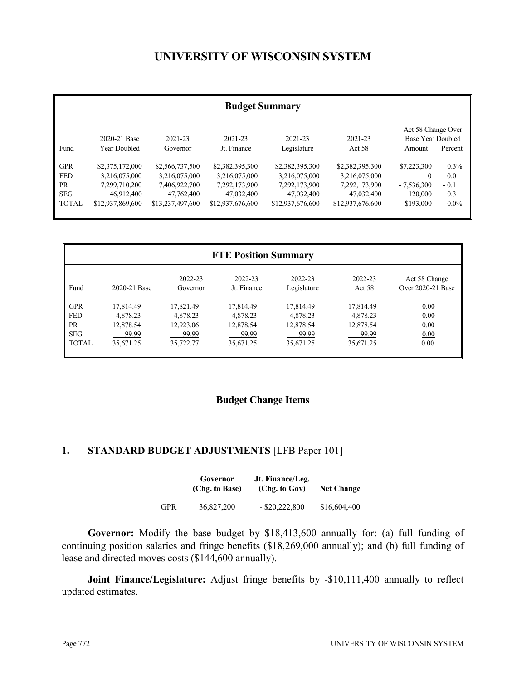# **UNIVERSITY OF WISCONSIN SYSTEM**

|                                                     | <b>Budget Summary</b>                                           |                                                                 |                                                                 |                                                                 |                                                                 |                                                          |                                 |
|-----------------------------------------------------|-----------------------------------------------------------------|-----------------------------------------------------------------|-----------------------------------------------------------------|-----------------------------------------------------------------|-----------------------------------------------------------------|----------------------------------------------------------|---------------------------------|
| Fund                                                | 2020-21 Base<br>Year Doubled                                    | 2021-23<br>Governor                                             | 2021-23<br>Jt. Finance                                          | 2021-23<br>Legislature                                          | 2021-23<br>Act 58                                               | Act 58 Change Over<br><b>Base Year Doubled</b><br>Amount | Percent                         |
| <b>GPR</b><br><b>FED</b><br><b>PR</b><br><b>SEG</b> | \$2,375,172,000<br>3.216.075.000<br>7,299,710,200<br>46.912.400 | \$2,566,737,500<br>3,216,075,000<br>7,406,922,700<br>47,762,400 | \$2,382,395,300<br>3,216,075,000<br>7,292,173,900<br>47,032,400 | \$2,382,395,300<br>3,216,075,000<br>7,292,173,900<br>47,032,400 | \$2,382,395,300<br>3,216,075,000<br>7,292,173,900<br>47,032,400 | \$7,223,300<br>$-7,536,300$<br>120,000                   | $0.3\%$<br>0.0<br>$-0.1$<br>0.3 |
| <b>TOTAL</b>                                        | \$12,937,869,600                                                | \$13,237,497,600                                                | \$12,937,676,600                                                | \$12,937,676,600                                                | \$12,937,676,600                                                | $-$ \$193,000                                            | $0.0\%$                         |

|              | <b>FTE Position Summary</b> |                     |                        |                        |                   |                                    |
|--------------|-----------------------------|---------------------|------------------------|------------------------|-------------------|------------------------------------|
| Fund         | 2020-21 Base                | 2022-23<br>Governor | 2022-23<br>Jt. Finance | 2022-23<br>Legislature | 2022-23<br>Act 58 | Act 58 Change<br>Over 2020-21 Base |
| <b>GPR</b>   | 17,814.49                   | 17,821.49           | 17,814.49              | 17,814.49              | 17,814.49         | 0.00                               |
| <b>FED</b>   | 4,878.23                    | 4,878.23            | 4,878.23               | 4,878.23               | 4,878.23          | 0.00                               |
| <b>PR</b>    | 12,878.54                   | 12,923.06           | 12,878.54              | 12,878.54              | 12,878.54         | 0.00                               |
| <b>SEG</b>   | 99.99                       | 99.99               | 99.99                  | 99.99                  | 99.99             | 0.00                               |
| <b>TOTAL</b> | 35,671.25                   | 35,722.77           | 35,671.25              | 35,671.25              | 35,671.25         | 0.00                               |

# **Budget Change Items**

# **1. STANDARD BUDGET ADJUSTMENTS** [LFB Paper 101]

|            | Governor<br>(Chg. to Base) | Jt. Finance/Leg.<br>(Chg. to Gov) | <b>Net Change</b> |
|------------|----------------------------|-----------------------------------|-------------------|
| <b>GPR</b> | 36,827,200                 | $-$ \$20,222,800                  | \$16,604,400      |

**Governor:** Modify the base budget by \$18,413,600 annually for: (a) full funding of continuing position salaries and fringe benefits (\$18,269,000 annually); and (b) full funding of lease and directed moves costs (\$144,600 annually).

**Joint Finance/Legislature:** Adjust fringe benefits by -\$10,111,400 annually to reflect updated estimates.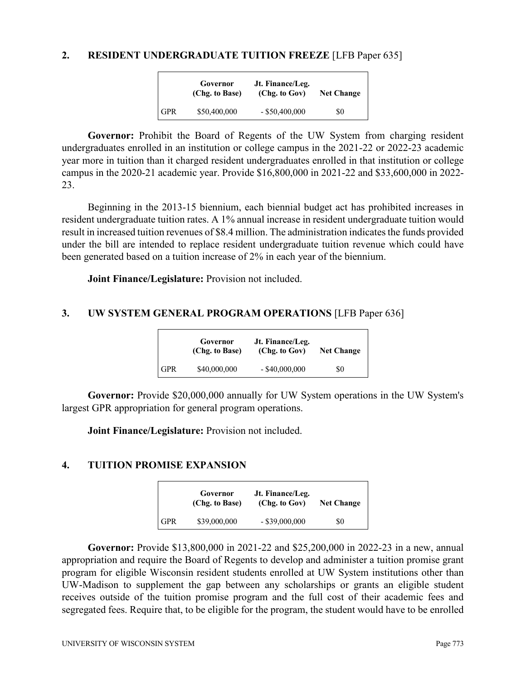#### **2. RESIDENT UNDERGRADUATE TUITION FREEZE** [LFB Paper 635]

|            | Governor<br>(Chg. to Base) | Jt. Finance/Leg.<br>(Chg. to Gov) | <b>Net Change</b> |
|------------|----------------------------|-----------------------------------|-------------------|
| <b>GPR</b> | \$50,400,000               | $-$ \$50,400,000                  | \$0               |

**Governor:** Prohibit the Board of Regents of the UW System from charging resident undergraduates enrolled in an institution or college campus in the 2021-22 or 2022-23 academic year more in tuition than it charged resident undergraduates enrolled in that institution or college campus in the 2020-21 academic year. Provide \$16,800,000 in 2021-22 and \$33,600,000 in 2022- 23.

Beginning in the 2013-15 biennium, each biennial budget act has prohibited increases in resident undergraduate tuition rates. A 1% annual increase in resident undergraduate tuition would result in increased tuition revenues of \$8.4 million. The administration indicates the funds provided under the bill are intended to replace resident undergraduate tuition revenue which could have been generated based on a tuition increase of 2% in each year of the biennium.

**Joint Finance/Legislature:** Provision not included.

# **3. UW SYSTEM GENERAL PROGRAM OPERATIONS** [LFB Paper 636]

|       | Governor<br>(Chg. to Base) | Jt. Finance/Leg.<br>(Chg. to Gov) | <b>Net Change</b> |
|-------|----------------------------|-----------------------------------|-------------------|
| l GPR | \$40,000,000               | $-$ \$40,000,000                  | \$0               |

**Governor:** Provide \$20,000,000 annually for UW System operations in the UW System's largest GPR appropriation for general program operations.

**Joint Finance/Legislature:** Provision not included.

### **4. TUITION PROMISE EXPANSION**

|     | Governor<br>(Chg. to Base) | Jt. Finance/Leg.<br>(Chg. to Gov) | <b>Net Change</b> |
|-----|----------------------------|-----------------------------------|-------------------|
| GPR | \$39,000,000               | $-$ \$39,000,000                  | \$0               |

**Governor:** Provide \$13,800,000 in 2021-22 and \$25,200,000 in 2022-23 in a new, annual appropriation and require the Board of Regents to develop and administer a tuition promise grant program for eligible Wisconsin resident students enrolled at UW System institutions other than UW-Madison to supplement the gap between any scholarships or grants an eligible student receives outside of the tuition promise program and the full cost of their academic fees and segregated fees. Require that, to be eligible for the program, the student would have to be enrolled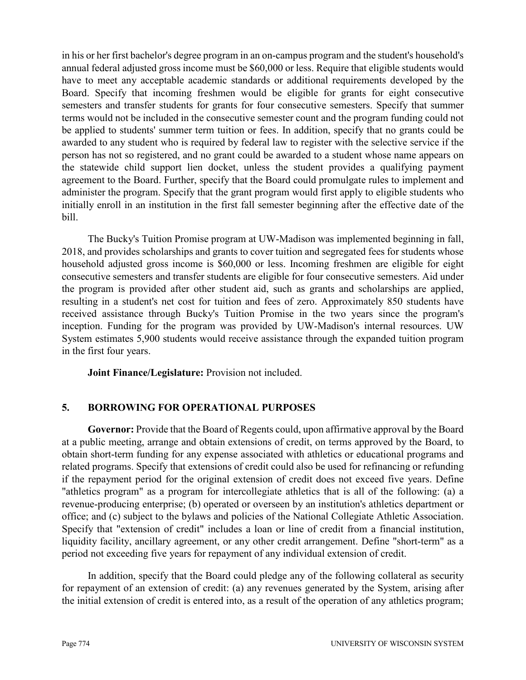in his or her first bachelor's degree program in an on-campus program and the student's household's annual federal adjusted gross income must be \$60,000 or less. Require that eligible students would have to meet any acceptable academic standards or additional requirements developed by the Board. Specify that incoming freshmen would be eligible for grants for eight consecutive semesters and transfer students for grants for four consecutive semesters. Specify that summer terms would not be included in the consecutive semester count and the program funding could not be applied to students' summer term tuition or fees. In addition, specify that no grants could be awarded to any student who is required by federal law to register with the selective service if the person has not so registered, and no grant could be awarded to a student whose name appears on the statewide child support lien docket, unless the student provides a qualifying payment agreement to the Board. Further, specify that the Board could promulgate rules to implement and administer the program. Specify that the grant program would first apply to eligible students who initially enroll in an institution in the first fall semester beginning after the effective date of the bill.

The Bucky's Tuition Promise program at UW-Madison was implemented beginning in fall, 2018, and provides scholarships and grants to cover tuition and segregated fees for students whose household adjusted gross income is \$60,000 or less. Incoming freshmen are eligible for eight consecutive semesters and transfer students are eligible for four consecutive semesters. Aid under the program is provided after other student aid, such as grants and scholarships are applied, resulting in a student's net cost for tuition and fees of zero. Approximately 850 students have received assistance through Bucky's Tuition Promise in the two years since the program's inception. Funding for the program was provided by UW-Madison's internal resources. UW System estimates 5,900 students would receive assistance through the expanded tuition program in the first four years.

**Joint Finance/Legislature:** Provision not included.

### **5. BORROWING FOR OPERATIONAL PURPOSES**

**Governor:** Provide that the Board of Regents could, upon affirmative approval by the Board at a public meeting, arrange and obtain extensions of credit, on terms approved by the Board, to obtain short-term funding for any expense associated with athletics or educational programs and related programs. Specify that extensions of credit could also be used for refinancing or refunding if the repayment period for the original extension of credit does not exceed five years. Define "athletics program" as a program for intercollegiate athletics that is all of the following: (a) a revenue-producing enterprise; (b) operated or overseen by an institution's athletics department or office; and (c) subject to the bylaws and policies of the National Collegiate Athletic Association. Specify that "extension of credit" includes a loan or line of credit from a financial institution, liquidity facility, ancillary agreement, or any other credit arrangement. Define "short-term" as a period not exceeding five years for repayment of any individual extension of credit.

In addition, specify that the Board could pledge any of the following collateral as security for repayment of an extension of credit: (a) any revenues generated by the System, arising after the initial extension of credit is entered into, as a result of the operation of any athletics program;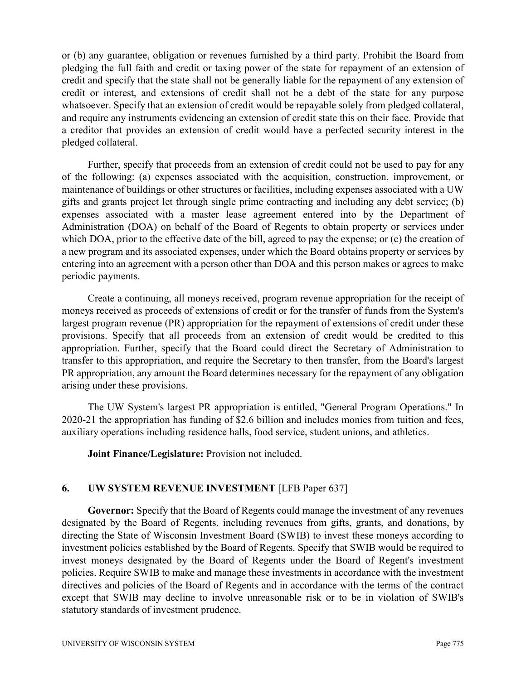or (b) any guarantee, obligation or revenues furnished by a third party. Prohibit the Board from pledging the full faith and credit or taxing power of the state for repayment of an extension of credit and specify that the state shall not be generally liable for the repayment of any extension of credit or interest, and extensions of credit shall not be a debt of the state for any purpose whatsoever. Specify that an extension of credit would be repayable solely from pledged collateral, and require any instruments evidencing an extension of credit state this on their face. Provide that a creditor that provides an extension of credit would have a perfected security interest in the pledged collateral.

Further, specify that proceeds from an extension of credit could not be used to pay for any of the following: (a) expenses associated with the acquisition, construction, improvement, or maintenance of buildings or other structures or facilities, including expenses associated with a UW gifts and grants project let through single prime contracting and including any debt service; (b) expenses associated with a master lease agreement entered into by the Department of Administration (DOA) on behalf of the Board of Regents to obtain property or services under which DOA, prior to the effective date of the bill, agreed to pay the expense; or (c) the creation of a new program and its associated expenses, under which the Board obtains property or services by entering into an agreement with a person other than DOA and this person makes or agrees to make periodic payments.

Create a continuing, all moneys received, program revenue appropriation for the receipt of moneys received as proceeds of extensions of credit or for the transfer of funds from the System's largest program revenue (PR) appropriation for the repayment of extensions of credit under these provisions. Specify that all proceeds from an extension of credit would be credited to this appropriation. Further, specify that the Board could direct the Secretary of Administration to transfer to this appropriation, and require the Secretary to then transfer, from the Board's largest PR appropriation, any amount the Board determines necessary for the repayment of any obligation arising under these provisions.

The UW System's largest PR appropriation is entitled, "General Program Operations." In 2020-21 the appropriation has funding of \$2.6 billion and includes monies from tuition and fees, auxiliary operations including residence halls, food service, student unions, and athletics.

**Joint Finance/Legislature:** Provision not included.

### **6. UW SYSTEM REVENUE INVESTMENT** [LFB Paper 637]

**Governor:** Specify that the Board of Regents could manage the investment of any revenues designated by the Board of Regents, including revenues from gifts, grants, and donations, by directing the State of Wisconsin Investment Board (SWIB) to invest these moneys according to investment policies established by the Board of Regents. Specify that SWIB would be required to invest moneys designated by the Board of Regents under the Board of Regent's investment policies. Require SWIB to make and manage these investments in accordance with the investment directives and policies of the Board of Regents and in accordance with the terms of the contract except that SWIB may decline to involve unreasonable risk or to be in violation of SWIB's statutory standards of investment prudence.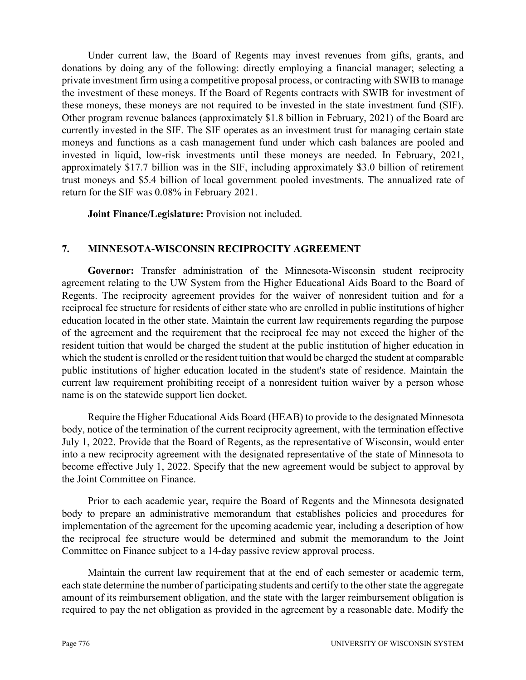Under current law, the Board of Regents may invest revenues from gifts, grants, and donations by doing any of the following: directly employing a financial manager; selecting a private investment firm using a competitive proposal process, or contracting with SWIB to manage the investment of these moneys. If the Board of Regents contracts with SWIB for investment of these moneys, these moneys are not required to be invested in the state investment fund (SIF). Other program revenue balances (approximately \$1.8 billion in February, 2021) of the Board are currently invested in the SIF. The SIF operates as an investment trust for managing certain state moneys and functions as a cash management fund under which cash balances are pooled and invested in liquid, low-risk investments until these moneys are needed. In February, 2021, approximately \$17.7 billion was in the SIF, including approximately \$3.0 billion of retirement trust moneys and \$5.4 billion of local government pooled investments. The annualized rate of return for the SIF was 0.08% in February 2021.

**Joint Finance/Legislature:** Provision not included.

### **7. MINNESOTA-WISCONSIN RECIPROCITY AGREEMENT**

**Governor:** Transfer administration of the Minnesota-Wisconsin student reciprocity agreement relating to the UW System from the Higher Educational Aids Board to the Board of Regents. The reciprocity agreement provides for the waiver of nonresident tuition and for a reciprocal fee structure for residents of either state who are enrolled in public institutions of higher education located in the other state. Maintain the current law requirements regarding the purpose of the agreement and the requirement that the reciprocal fee may not exceed the higher of the resident tuition that would be charged the student at the public institution of higher education in which the student is enrolled or the resident tuition that would be charged the student at comparable public institutions of higher education located in the student's state of residence. Maintain the current law requirement prohibiting receipt of a nonresident tuition waiver by a person whose name is on the statewide support lien docket.

Require the Higher Educational Aids Board (HEAB) to provide to the designated Minnesota body, notice of the termination of the current reciprocity agreement, with the termination effective July 1, 2022. Provide that the Board of Regents, as the representative of Wisconsin, would enter into a new reciprocity agreement with the designated representative of the state of Minnesota to become effective July 1, 2022. Specify that the new agreement would be subject to approval by the Joint Committee on Finance.

Prior to each academic year, require the Board of Regents and the Minnesota designated body to prepare an administrative memorandum that establishes policies and procedures for implementation of the agreement for the upcoming academic year, including a description of how the reciprocal fee structure would be determined and submit the memorandum to the Joint Committee on Finance subject to a 14-day passive review approval process.

Maintain the current law requirement that at the end of each semester or academic term, each state determine the number of participating students and certify to the other state the aggregate amount of its reimbursement obligation, and the state with the larger reimbursement obligation is required to pay the net obligation as provided in the agreement by a reasonable date. Modify the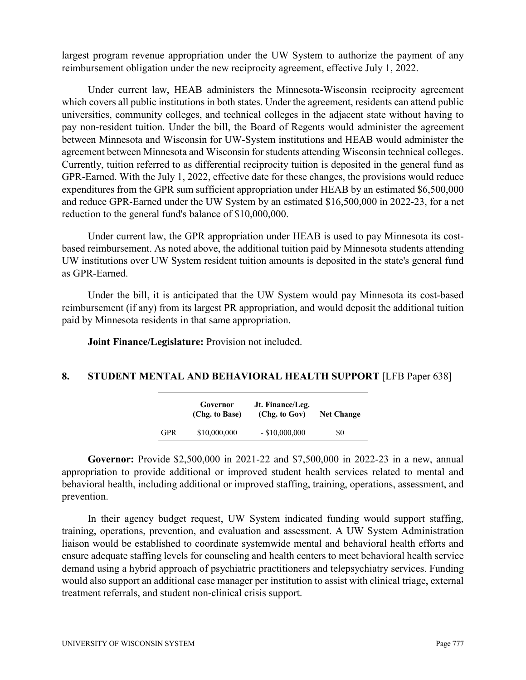largest program revenue appropriation under the UW System to authorize the payment of any reimbursement obligation under the new reciprocity agreement, effective July 1, 2022.

Under current law, HEAB administers the Minnesota-Wisconsin reciprocity agreement which covers all public institutions in both states. Under the agreement, residents can attend public universities, community colleges, and technical colleges in the adjacent state without having to pay non-resident tuition. Under the bill, the Board of Regents would administer the agreement between Minnesota and Wisconsin for UW-System institutions and HEAB would administer the agreement between Minnesota and Wisconsin for students attending Wisconsin technical colleges. Currently, tuition referred to as differential reciprocity tuition is deposited in the general fund as GPR-Earned. With the July 1, 2022, effective date for these changes, the provisions would reduce expenditures from the GPR sum sufficient appropriation under HEAB by an estimated \$6,500,000 and reduce GPR-Earned under the UW System by an estimated \$16,500,000 in 2022-23, for a net reduction to the general fund's balance of \$10,000,000.

Under current law, the GPR appropriation under HEAB is used to pay Minnesota its costbased reimbursement. As noted above, the additional tuition paid by Minnesota students attending UW institutions over UW System resident tuition amounts is deposited in the state's general fund as GPR-Earned.

Under the bill, it is anticipated that the UW System would pay Minnesota its cost-based reimbursement (if any) from its largest PR appropriation, and would deposit the additional tuition paid by Minnesota residents in that same appropriation.

**Joint Finance/Legislature:** Provision not included.

#### **8. STUDENT MENTAL AND BEHAVIORAL HEALTH SUPPORT** [LFB Paper 638]

|            | Governor<br>(Chg. to Base) | Jt. Finance/Leg.<br>(Chg. to Gov) | <b>Net Change</b> |
|------------|----------------------------|-----------------------------------|-------------------|
| <b>GPR</b> | \$10,000,000               | $-$ \$10,000,000                  | SO.               |

**Governor:** Provide \$2,500,000 in 2021-22 and \$7,500,000 in 2022-23 in a new, annual appropriation to provide additional or improved student health services related to mental and behavioral health, including additional or improved staffing, training, operations, assessment, and prevention.

In their agency budget request, UW System indicated funding would support staffing, training, operations, prevention, and evaluation and assessment. A UW System Administration liaison would be established to coordinate systemwide mental and behavioral health efforts and ensure adequate staffing levels for counseling and health centers to meet behavioral health service demand using a hybrid approach of psychiatric practitioners and telepsychiatry services. Funding would also support an additional case manager per institution to assist with clinical triage, external treatment referrals, and student non-clinical crisis support.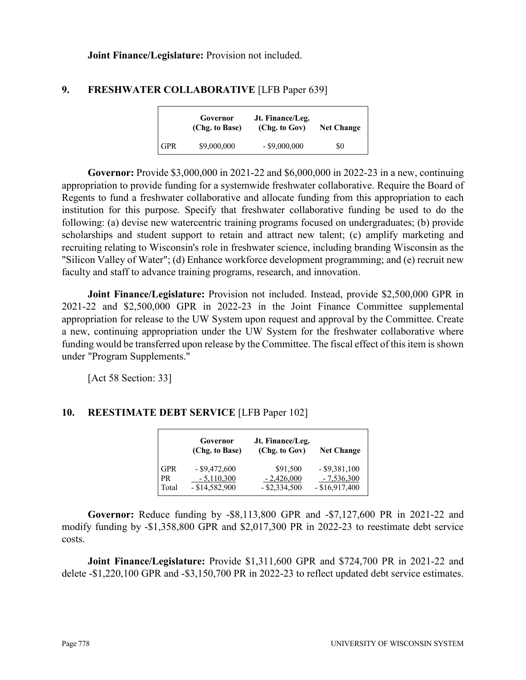**Joint Finance/Legislature:** Provision not included.

### **9. FRESHWATER COLLABORATIVE** [LFB Paper 639]

|            | Governor<br>(Chg. to Base) | Jt. Finance/Leg.<br>(Chg. to Gov) | <b>Net Change</b> |
|------------|----------------------------|-----------------------------------|-------------------|
| <b>GPR</b> | \$9,000,000                | $-$ \$9,000,000                   | SO.               |

**Governor:** Provide \$3,000,000 in 2021-22 and \$6,000,000 in 2022-23 in a new, continuing appropriation to provide funding for a systemwide freshwater collaborative. Require the Board of Regents to fund a freshwater collaborative and allocate funding from this appropriation to each institution for this purpose. Specify that freshwater collaborative funding be used to do the following: (a) devise new watercentric training programs focused on undergraduates; (b) provide scholarships and student support to retain and attract new talent; (c) amplify marketing and recruiting relating to Wisconsin's role in freshwater science, including branding Wisconsin as the "Silicon Valley of Water"; (d) Enhance workforce development programming; and (e) recruit new faculty and staff to advance training programs, research, and innovation.

**Joint Finance/Legislature:** Provision not included. Instead, provide \$2,500,000 GPR in 2021-22 and \$2,500,000 GPR in 2022-23 in the Joint Finance Committee supplemental appropriation for release to the UW System upon request and approval by the Committee. Create a new, continuing appropriation under the UW System for the freshwater collaborative where funding would be transferred upon release by the Committee. The fiscal effect of this item is shown under "Program Supplements."

[Act 58 Section: 33]

# **10. REESTIMATE DEBT SERVICE** [LFB Paper 102]

|            | Governor<br>(Chg. to Base) | Jt. Finance/Leg.<br>(Chg. to Gov) | <b>Net Change</b> |
|------------|----------------------------|-----------------------------------|-------------------|
| <b>GPR</b> | $-$ \$9,472,600            | \$91,500                          | $-$ \$9,381,100   |
| PR         | $-5,110,300$               | $-2,426,000$                      | $-7,536,300$      |
| Total      | $-$ \$14,582,900           | $-$ \$2,334,500                   | $-$ \$16,917,400  |

**Governor:** Reduce funding by -\$8,113,800 GPR and -\$7,127,600 PR in 2021-22 and modify funding by -\$1,358,800 GPR and \$2,017,300 PR in 2022-23 to reestimate debt service costs.

**Joint Finance/Legislature:** Provide \$1,311,600 GPR and \$724,700 PR in 2021-22 and delete -\$1,220,100 GPR and -\$3,150,700 PR in 2022-23 to reflect updated debt service estimates.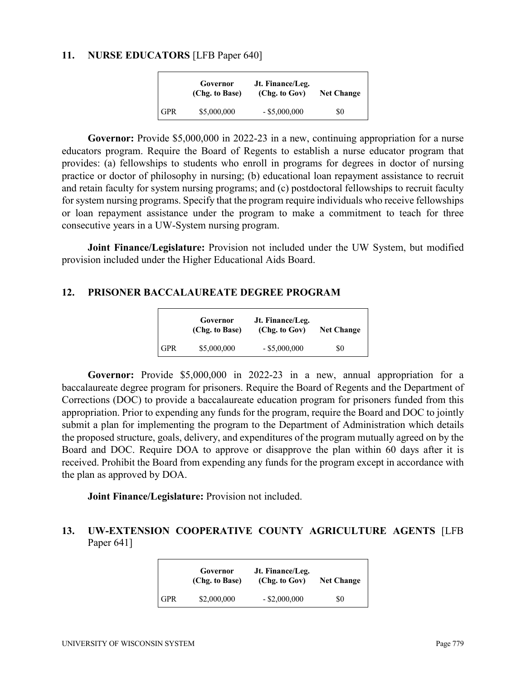#### **11. NURSE EDUCATORS** [LFB Paper 640]

|            | Governor<br>(Chg. to Base) | Jt. Finance/Leg.<br>(Chg. to Gov) | <b>Net Change</b> |
|------------|----------------------------|-----------------------------------|-------------------|
| <b>GPR</b> | \$5,000,000                | $-$ \$5,000,000                   | SO.               |

**Governor:** Provide \$5,000,000 in 2022-23 in a new, continuing appropriation for a nurse educators program. Require the Board of Regents to establish a nurse educator program that provides: (a) fellowships to students who enroll in programs for degrees in doctor of nursing practice or doctor of philosophy in nursing; (b) educational loan repayment assistance to recruit and retain faculty for system nursing programs; and (c) postdoctoral fellowships to recruit faculty for system nursing programs. Specify that the program require individuals who receive fellowships or loan repayment assistance under the program to make a commitment to teach for three consecutive years in a UW-System nursing program.

**Joint Finance/Legislature:** Provision not included under the UW System, but modified provision included under the Higher Educational Aids Board.

#### **12. PRISONER BACCALAUREATE DEGREE PROGRAM**

|            | Governor<br>(Chg. to Base) | Jt. Finance/Leg.<br>(Chg. to Gov) | <b>Net Change</b> |
|------------|----------------------------|-----------------------------------|-------------------|
| <b>GPR</b> | \$5,000,000                | $-$ \$5,000,000                   | \$0               |

**Governor:** Provide \$5,000,000 in 2022-23 in a new, annual appropriation for a baccalaureate degree program for prisoners. Require the Board of Regents and the Department of Corrections (DOC) to provide a baccalaureate education program for prisoners funded from this appropriation. Prior to expending any funds for the program, require the Board and DOC to jointly submit a plan for implementing the program to the Department of Administration which details the proposed structure, goals, delivery, and expenditures of the program mutually agreed on by the Board and DOC. Require DOA to approve or disapprove the plan within 60 days after it is received. Prohibit the Board from expending any funds for the program except in accordance with the plan as approved by DOA.

**Joint Finance/Legislature:** Provision not included.

#### **13. UW-EXTENSION COOPERATIVE COUNTY AGRICULTURE AGENTS** [LFB Paper 641]

|            | Governor<br>(Chg. to Base) | Jt. Finance/Leg.<br>(Chg. to Gov) | <b>Net Change</b> |
|------------|----------------------------|-----------------------------------|-------------------|
| <b>GPR</b> | \$2,000,000                | $-$ \$2,000,000                   | \$0               |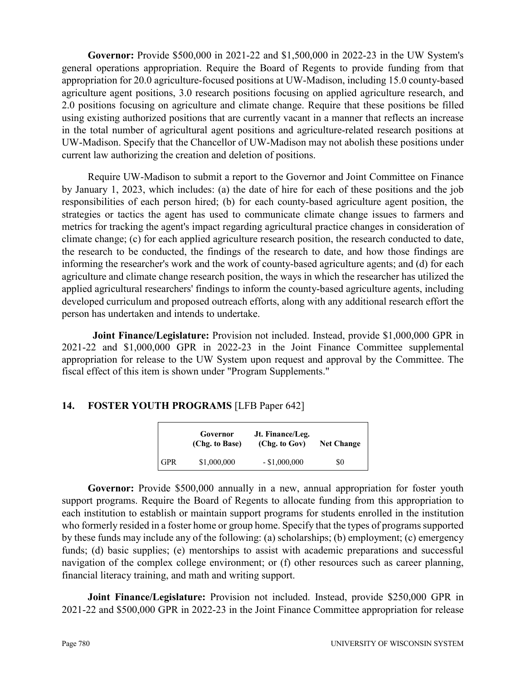**Governor:** Provide \$500,000 in 2021-22 and \$1,500,000 in 2022-23 in the UW System's general operations appropriation. Require the Board of Regents to provide funding from that appropriation for 20.0 agriculture-focused positions at UW-Madison, including 15.0 county-based agriculture agent positions, 3.0 research positions focusing on applied agriculture research, and 2.0 positions focusing on agriculture and climate change. Require that these positions be filled using existing authorized positions that are currently vacant in a manner that reflects an increase in the total number of agricultural agent positions and agriculture-related research positions at UW-Madison. Specify that the Chancellor of UW-Madison may not abolish these positions under current law authorizing the creation and deletion of positions.

Require UW-Madison to submit a report to the Governor and Joint Committee on Finance by January 1, 2023, which includes: (a) the date of hire for each of these positions and the job responsibilities of each person hired; (b) for each county-based agriculture agent position, the strategies or tactics the agent has used to communicate climate change issues to farmers and metrics for tracking the agent's impact regarding agricultural practice changes in consideration of climate change; (c) for each applied agriculture research position, the research conducted to date, the research to be conducted, the findings of the research to date, and how those findings are informing the researcher's work and the work of county-based agriculture agents; and (d) for each agriculture and climate change research position, the ways in which the researcher has utilized the applied agricultural researchers' findings to inform the county-based agriculture agents, including developed curriculum and proposed outreach efforts, along with any additional research effort the person has undertaken and intends to undertake.

**Joint Finance/Legislature:** Provision not included. Instead, provide \$1,000,000 GPR in 2021-22 and \$1,000,000 GPR in 2022-23 in the Joint Finance Committee supplemental appropriation for release to the UW System upon request and approval by the Committee. The fiscal effect of this item is shown under "Program Supplements."

# **14. FOSTER YOUTH PROGRAMS** [LFB Paper 642]

|            | Governor<br>(Chg. to Base) | Jt. Finance/Leg.<br>(Chg. to Gov)<br><b>Net Change</b> |     |
|------------|----------------------------|--------------------------------------------------------|-----|
| <b>GPR</b> | \$1,000,000                | $-$ \$1,000,000                                        | \$0 |

Governor: Provide \$500,000 annually in a new, annual appropriation for foster youth support programs. Require the Board of Regents to allocate funding from this appropriation to each institution to establish or maintain support programs for students enrolled in the institution who formerly resided in a foster home or group home. Specify that the types of programs supported by these funds may include any of the following: (a) scholarships; (b) employment; (c) emergency funds; (d) basic supplies; (e) mentorships to assist with academic preparations and successful navigation of the complex college environment; or (f) other resources such as career planning, financial literacy training, and math and writing support.

**Joint Finance/Legislature:** Provision not included. Instead, provide \$250,000 GPR in 2021-22 and \$500,000 GPR in 2022-23 in the Joint Finance Committee appropriation for release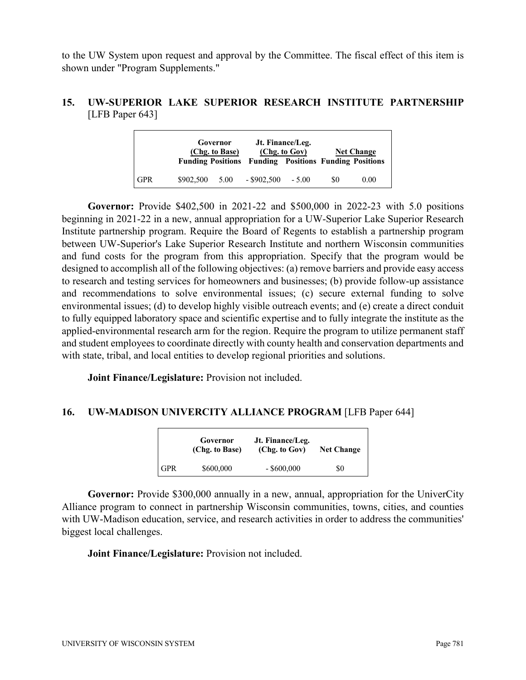to the UW System upon request and approval by the Committee. The fiscal effect of this item is shown under "Program Supplements."

### **15. UW-SUPERIOR LAKE SUPERIOR RESEARCH INSTITUTE PARTNERSHIP** [LFB Paper 643]

|            |           | Governor<br>(Chg. to Base) | <b>Funding Positions Funding Positions Funding Positions</b> | Jt. Finance/Leg.<br>(Chg. to Gov) |     | <b>Net Change</b> |
|------------|-----------|----------------------------|--------------------------------------------------------------|-----------------------------------|-----|-------------------|
| <b>GPR</b> | \$902,500 | 5.00                       | $-$ \$902,500                                                | $-5.00$                           | \$0 | 0.00              |

**Governor:** Provide \$402,500 in 2021-22 and \$500,000 in 2022-23 with 5.0 positions beginning in 2021-22 in a new, annual appropriation for a UW-Superior Lake Superior Research Institute partnership program. Require the Board of Regents to establish a partnership program between UW-Superior's Lake Superior Research Institute and northern Wisconsin communities and fund costs for the program from this appropriation. Specify that the program would be designed to accomplish all of the following objectives: (a) remove barriers and provide easy access to research and testing services for homeowners and businesses; (b) provide follow-up assistance and recommendations to solve environmental issues; (c) secure external funding to solve environmental issues; (d) to develop highly visible outreach events; and (e) create a direct conduit to fully equipped laboratory space and scientific expertise and to fully integrate the institute as the applied-environmental research arm for the region. Require the program to utilize permanent staff and student employees to coordinate directly with county health and conservation departments and with state, tribal, and local entities to develop regional priorities and solutions.

**Joint Finance/Legislature:** Provision not included.

### **16. UW-MADISON UNIVERCITY ALLIANCE PROGRAM** [LFB Paper 644]

|            | Governor<br>(Chg. to Base) | Jt. Finance/Leg.<br>(Chg. to Gov) | <b>Net Change</b> |
|------------|----------------------------|-----------------------------------|-------------------|
| <b>GPR</b> | \$600,000                  | $-$ \$600,000                     | \$0               |

**Governor:** Provide \$300,000 annually in a new, annual, appropriation for the UniverCity Alliance program to connect in partnership Wisconsin communities, towns, cities, and counties with UW-Madison education, service, and research activities in order to address the communities' biggest local challenges.

**Joint Finance/Legislature:** Provision not included.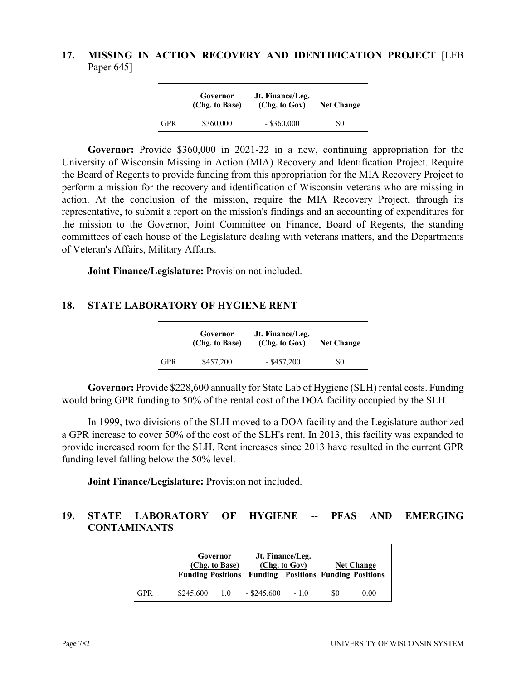# **17. MISSING IN ACTION RECOVERY AND IDENTIFICATION PROJECT** [LFB Paper 645]

|     | Governor<br>(Chg. to Base) | Jt. Finance/Leg.<br>(Chg. to Gov) | <b>Net Change</b> |
|-----|----------------------------|-----------------------------------|-------------------|
| GPR | \$360,000                  | $-$ \$360,000                     | SO.               |

**Governor:** Provide \$360,000 in 2021-22 in a new, continuing appropriation for the University of Wisconsin Missing in Action (MIA) Recovery and Identification Project. Require the Board of Regents to provide funding from this appropriation for the MIA Recovery Project to perform a mission for the recovery and identification of Wisconsin veterans who are missing in action. At the conclusion of the mission, require the MIA Recovery Project, through its representative, to submit a report on the mission's findings and an accounting of expenditures for the mission to the Governor, Joint Committee on Finance, Board of Regents, the standing committees of each house of the Legislature dealing with veterans matters, and the Departments of Veteran's Affairs, Military Affairs.

**Joint Finance/Legislature:** Provision not included.

#### **18. STATE LABORATORY OF HYGIENE RENT**

|       | Governor<br>(Chg. to Base) | Jt. Finance/Leg.<br>(Chg. to Gov) | <b>Net Change</b> |
|-------|----------------------------|-----------------------------------|-------------------|
| l GPR | \$457,200                  | $-$ \$457,200                     | \$0               |

**Governor:** Provide \$228,600 annually for State Lab of Hygiene (SLH) rental costs. Funding would bring GPR funding to 50% of the rental cost of the DOA facility occupied by the SLH.

In 1999, two divisions of the SLH moved to a DOA facility and the Legislature authorized a GPR increase to cover 50% of the cost of the SLH's rent. In 2013, this facility was expanded to provide increased room for the SLH. Rent increases since 2013 have resulted in the current GPR funding level falling below the 50% level.

**Joint Finance/Legislature:** Provision not included.

# **19. STATE LABORATORY OF HYGIENE -- PFAS AND EMERGING CONTAMINANTS**

|            |           | Governor<br>(Chg. to Base) | <b>Funding Positions Funding Positions Funding Positions</b> | Jt. Finance/Leg.<br>(Chg. to Gov) |           | <b>Net Change</b> |
|------------|-----------|----------------------------|--------------------------------------------------------------|-----------------------------------|-----------|-------------------|
| <b>GPR</b> | \$245,600 | 1.0                        | $-$ \$245,600                                                | $-1.0$                            | <b>SO</b> | 0.00              |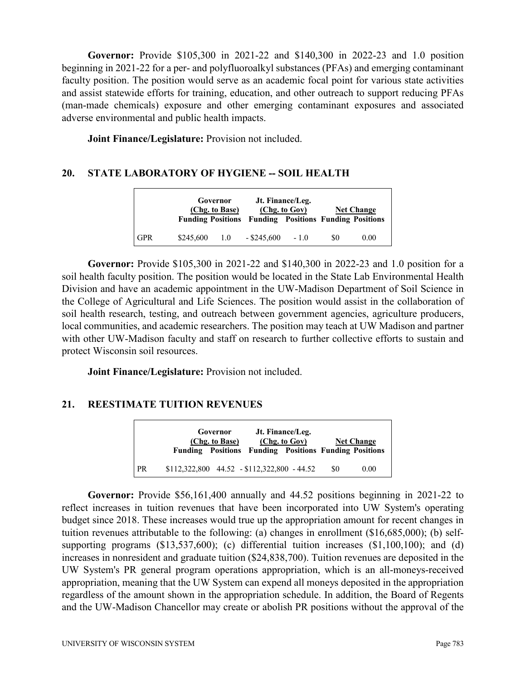**Governor:** Provide \$105,300 in 2021-22 and \$140,300 in 2022-23 and 1.0 position beginning in 2021-22 for a per- and polyfluoroalkyl substances (PFAs) and emerging contaminant faculty position. The position would serve as an academic focal point for various state activities and assist statewide efforts for training, education, and other outreach to support reducing PFAs (man-made chemicals) exposure and other emerging contaminant exposures and associated adverse environmental and public health impacts.

**Joint Finance/Legislature:** Provision not included.

### **20. STATE LABORATORY OF HYGIENE -- SOIL HEALTH**

|            | Governor<br>(Chg. to Base) |               | <b>Funding Positions Funding Positions Funding Positions</b> | Jt. Finance/Leg.<br>(Chg. to Gov) |     | <b>Net Change</b> |
|------------|----------------------------|---------------|--------------------------------------------------------------|-----------------------------------|-----|-------------------|
| <b>GPR</b> | \$245,600                  | $1.0^{\circ}$ | $-$ \$245,600                                                | $-1.0$                            | \$0 | 0.00              |

**Governor:** Provide \$105,300 in 2021-22 and \$140,300 in 2022-23 and 1.0 position for a soil health faculty position. The position would be located in the State Lab Environmental Health Division and have an academic appointment in the UW-Madison Department of Soil Science in the College of Agricultural and Life Sciences. The position would assist in the collaboration of soil health research, testing, and outreach between government agencies, agriculture producers, local communities, and academic researchers. The position may teach at UW Madison and partner with other UW-Madison faculty and staff on research to further collective efforts to sustain and protect Wisconsin soil resources.

**Joint Finance/Legislature:** Provision not included.

# **21. REESTIMATE TUITION REVENUES**

|           | Governor<br>(Chg. to Base)                   | Jt. Finance/Leg.<br>(Chg. to Gov)<br><b>Funding Positions Funding Positions Funding Positions</b> |     | <b>Net Change</b> |
|-----------|----------------------------------------------|---------------------------------------------------------------------------------------------------|-----|-------------------|
| <b>PR</b> | $$112,322,800$ 44.52 - \$112,322,800 - 44.52 |                                                                                                   | \$0 | 0.00              |

**Governor:** Provide \$56,161,400 annually and 44.52 positions beginning in 2021-22 to reflect increases in tuition revenues that have been incorporated into UW System's operating budget since 2018. These increases would true up the appropriation amount for recent changes in tuition revenues attributable to the following: (a) changes in enrollment (\$16,685,000); (b) selfsupporting programs (\$13,537,600); (c) differential tuition increases (\$1,100,100); and (d) increases in nonresident and graduate tuition (\$24,838,700). Tuition revenues are deposited in the UW System's PR general program operations appropriation, which is an all-moneys-received appropriation, meaning that the UW System can expend all moneys deposited in the appropriation regardless of the amount shown in the appropriation schedule. In addition, the Board of Regents and the UW-Madison Chancellor may create or abolish PR positions without the approval of the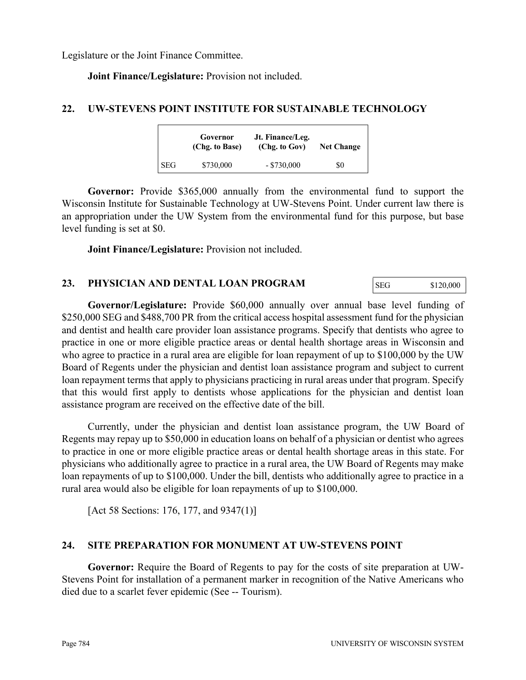Legislature or the Joint Finance Committee.

**Joint Finance/Legislature:** Provision not included.

#### **22. UW-STEVENS POINT INSTITUTE FOR SUSTAINABLE TECHNOLOGY**

|            | Governor<br>(Chg. to Base) | Jt. Finance/Leg.<br>(Chg. to Gov) | <b>Net Change</b> |  |
|------------|----------------------------|-----------------------------------|-------------------|--|
| <b>SEG</b> | \$730,000                  | $-$ \$730,000                     | \$0               |  |

**Governor:** Provide \$365,000 annually from the environmental fund to support the Wisconsin Institute for Sustainable Technology at UW-Stevens Point. Under current law there is an appropriation under the UW System from the environmental fund for this purpose, but base level funding is set at \$0.

**Joint Finance/Legislature:** Provision not included.

#### **23. PHYSICIAN AND DENTAL LOAN PROGRAM**

**Governor/Legislature:** Provide \$60,000 annually over annual base level funding of \$250,000 SEG and \$488,700 PR from the critical access hospital assessment fund for the physician and dentist and health care provider loan assistance programs. Specify that dentists who agree to practice in one or more eligible practice areas or dental health shortage areas in Wisconsin and who agree to practice in a rural area are eligible for loan repayment of up to \$100,000 by the UW Board of Regents under the physician and dentist loan assistance program and subject to current loan repayment terms that apply to physicians practicing in rural areas under that program. Specify that this would first apply to dentists whose applications for the physician and dentist loan assistance program are received on the effective date of the bill.

Currently, under the physician and dentist loan assistance program, the UW Board of Regents may repay up to \$50,000 in education loans on behalf of a physician or dentist who agrees to practice in one or more eligible practice areas or dental health shortage areas in this state. For physicians who additionally agree to practice in a rural area, the UW Board of Regents may make loan repayments of up to \$100,000. Under the bill, dentists who additionally agree to practice in a rural area would also be eligible for loan repayments of up to \$100,000.

[Act 58 Sections: 176, 177, and 9347(1)]

### **24. SITE PREPARATION FOR MONUMENT AT UW-STEVENS POINT**

**Governor:** Require the Board of Regents to pay for the costs of site preparation at UW-Stevens Point for installation of a permanent marker in recognition of the Native Americans who died due to a scarlet fever epidemic (See -- Tourism).

SEG \$120,000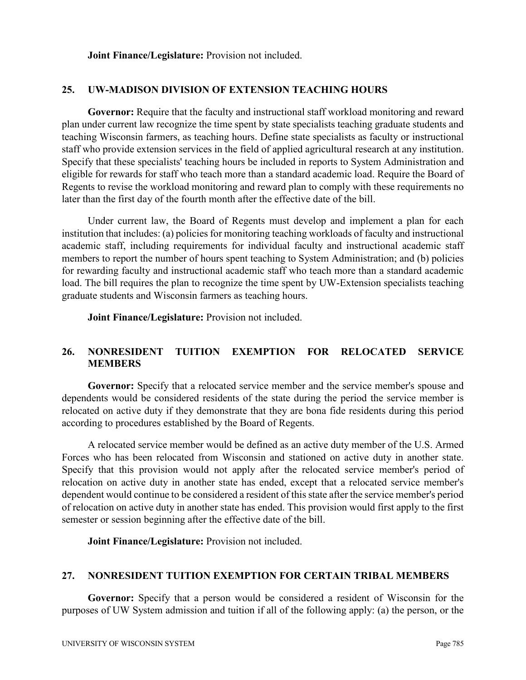**Joint Finance/Legislature:** Provision not included.

#### **25. UW-MADISON DIVISION OF EXTENSION TEACHING HOURS**

**Governor:** Require that the faculty and instructional staff workload monitoring and reward plan under current law recognize the time spent by state specialists teaching graduate students and teaching Wisconsin farmers, as teaching hours. Define state specialists as faculty or instructional staff who provide extension services in the field of applied agricultural research at any institution. Specify that these specialists' teaching hours be included in reports to System Administration and eligible for rewards for staff who teach more than a standard academic load. Require the Board of Regents to revise the workload monitoring and reward plan to comply with these requirements no later than the first day of the fourth month after the effective date of the bill.

Under current law, the Board of Regents must develop and implement a plan for each institution that includes: (a) policies for monitoring teaching workloads of faculty and instructional academic staff, including requirements for individual faculty and instructional academic staff members to report the number of hours spent teaching to System Administration; and (b) policies for rewarding faculty and instructional academic staff who teach more than a standard academic load. The bill requires the plan to recognize the time spent by UW-Extension specialists teaching graduate students and Wisconsin farmers as teaching hours.

**Joint Finance/Legislature:** Provision not included.

### **26. NONRESIDENT TUITION EXEMPTION FOR RELOCATED SERVICE MEMBERS**

**Governor:** Specify that a relocated service member and the service member's spouse and dependents would be considered residents of the state during the period the service member is relocated on active duty if they demonstrate that they are bona fide residents during this period according to procedures established by the Board of Regents.

A relocated service member would be defined as an active duty member of the U.S. Armed Forces who has been relocated from Wisconsin and stationed on active duty in another state. Specify that this provision would not apply after the relocated service member's period of relocation on active duty in another state has ended, except that a relocated service member's dependent would continue to be considered a resident of this state after the service member's period of relocation on active duty in another state has ended. This provision would first apply to the first semester or session beginning after the effective date of the bill.

**Joint Finance/Legislature:** Provision not included.

#### **27. NONRESIDENT TUITION EXEMPTION FOR CERTAIN TRIBAL MEMBERS**

**Governor:** Specify that a person would be considered a resident of Wisconsin for the purposes of UW System admission and tuition if all of the following apply: (a) the person, or the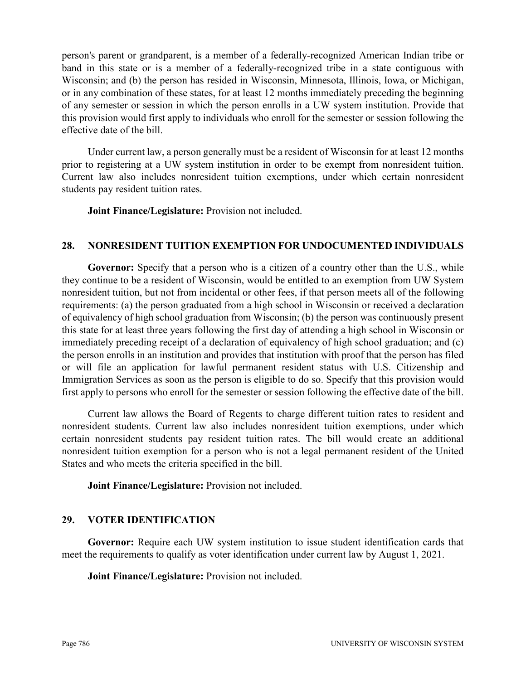person's parent or grandparent, is a member of a federally-recognized American Indian tribe or band in this state or is a member of a federally-recognized tribe in a state contiguous with Wisconsin; and (b) the person has resided in Wisconsin, Minnesota, Illinois, Iowa, or Michigan, or in any combination of these states, for at least 12 months immediately preceding the beginning of any semester or session in which the person enrolls in a UW system institution. Provide that this provision would first apply to individuals who enroll for the semester or session following the effective date of the bill.

Under current law, a person generally must be a resident of Wisconsin for at least 12 months prior to registering at a UW system institution in order to be exempt from nonresident tuition. Current law also includes nonresident tuition exemptions, under which certain nonresident students pay resident tuition rates.

**Joint Finance/Legislature:** Provision not included.

#### **28. NONRESIDENT TUITION EXEMPTION FOR UNDOCUMENTED INDIVIDUALS**

Governor: Specify that a person who is a citizen of a country other than the U.S., while they continue to be a resident of Wisconsin, would be entitled to an exemption from UW System nonresident tuition, but not from incidental or other fees, if that person meets all of the following requirements: (a) the person graduated from a high school in Wisconsin or received a declaration of equivalency of high school graduation from Wisconsin; (b) the person was continuously present this state for at least three years following the first day of attending a high school in Wisconsin or immediately preceding receipt of a declaration of equivalency of high school graduation; and (c) the person enrolls in an institution and provides that institution with proof that the person has filed or will file an application for lawful permanent resident status with U.S. Citizenship and Immigration Services as soon as the person is eligible to do so. Specify that this provision would first apply to persons who enroll for the semester or session following the effective date of the bill.

Current law allows the Board of Regents to charge different tuition rates to resident and nonresident students. Current law also includes nonresident tuition exemptions, under which certain nonresident students pay resident tuition rates. The bill would create an additional nonresident tuition exemption for a person who is not a legal permanent resident of the United States and who meets the criteria specified in the bill.

**Joint Finance/Legislature:** Provision not included.

### **29. VOTER IDENTIFICATION**

**Governor:** Require each UW system institution to issue student identification cards that meet the requirements to qualify as voter identification under current law by August 1, 2021.

**Joint Finance/Legislature:** Provision not included.